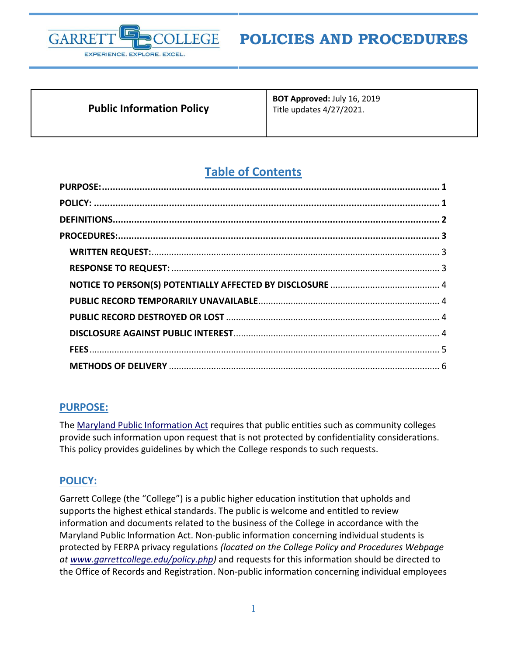

## **Public Information Policy**

**BOT Approved:** July 16, 2019 Title updates 4/27/2021.

## **Table of Contents**

## <span id="page-0-0"></span>**PURPOSE:**

The [Maryland Public Information Act](http://www.marylandattorneygeneral.gov/Pages/OpenGov/pia.aspx) requires that public entities such as community colleges provide such information upon request that is not protected by confidentiality considerations. This policy provides guidelines by which the College responds to such requests.

## <span id="page-0-1"></span>**POLICY:**

Garrett College (the "College") is a public higher education institution that upholds and supports the highest ethical standards. The public is welcome and entitled to review information and documents related to the business of the College in accordance with the Maryland Public Information Act. Non-public information concerning individual students is protected by FERPA privacy regulations *(located on the College Policy and Procedures Webpage at [www.garrettcollege.edu/policy.php\)](http://www.garrettcollege.edu/policy.php)* and requests for this information should be directed to the Office of Records and Registration. Non-public information concerning individual employees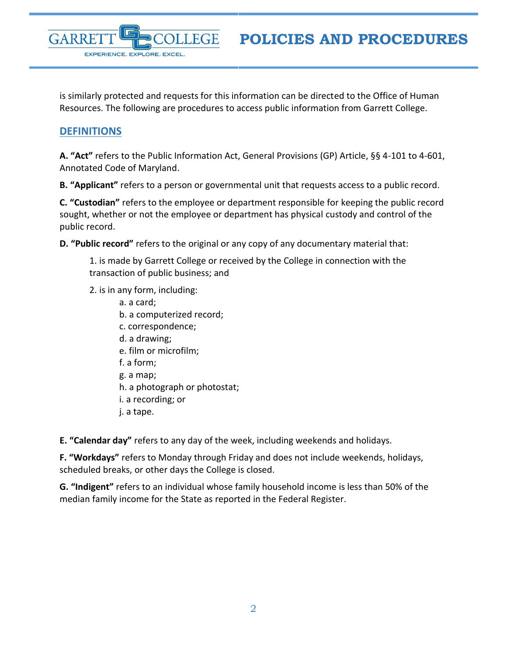is similarly protected and requests for this information can be directed to the Office of Human Resources. The following are procedures to access public information from Garrett College.

## <span id="page-1-0"></span>**DEFINITIONS**

GARRE

**A. "Act"** refers to the Public Information Act, General Provisions (GP) Article, §§ 4-101 to 4-601, Annotated Code of Maryland.

**B. "Applicant"** refers to a person or governmental unit that requests access to a public record.

**C. "Custodian"** refers to the employee or department responsible for keeping the public record sought, whether or not the employee or department has physical custody and control of the public record.

**D. "Public record"** refers to the original or any copy of any documentary material that:

1. is made by Garrett College or received by the College in connection with the transaction of public business; and

2. is in any form, including:

a. a card;

EXPERIENCE. EXPLORE. EXCEL.

- b. a computerized record;
- c. correspondence;
- d. a drawing;
- e. film or microfilm;
- f. a form;
- g. a map;
- h. a photograph or photostat;
- i. a recording; or
- j. a tape.

**E. "Calendar day"** refers to any day of the week, including weekends and holidays.

**F. "Workdays"** refers to Monday through Friday and does not include weekends, holidays, scheduled breaks, or other days the College is closed.

**G. "Indigent"** refers to an individual whose family household income is less than 50% of the median family income for the State as reported in the Federal Register.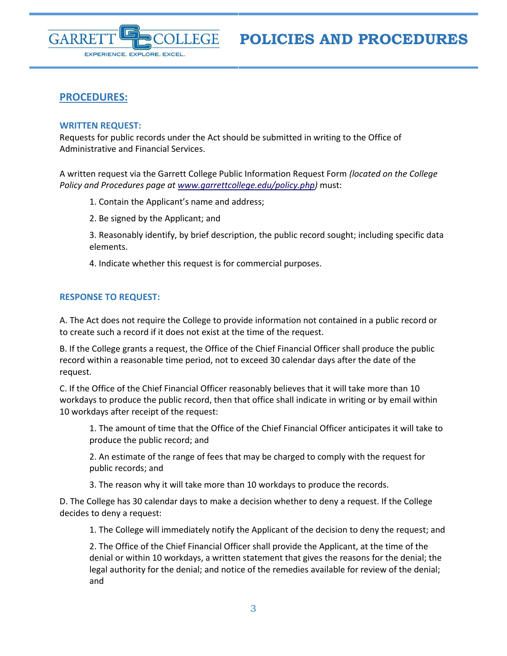

## <span id="page-2-0"></span>**PROCEDURES:**

#### <span id="page-2-1"></span>**WRITTEN REQUEST:**

Requests for public records under the Act should be submitted in writing to the Office of Administrative and Financial Services.

A written request via the Garrett College Public Information Request Form *(located on the College Policy and Procedures page at [www.garrettcollege.edu/policy.php\)](http://www.garrettcollege.edu/policy.php)* must:

- 1. Contain the Applicant's name and address;
- 2. Be signed by the Applicant; and

3. Reasonably identify, by brief description, the public record sought; including specific data elements.

4. Indicate whether this request is for commercial purposes.

#### <span id="page-2-2"></span>**RESPONSE TO REQUEST:**

A. The Act does not require the College to provide information not contained in a public record or to create such a record if it does not exist at the time of the request.

B. If the College grants a request, the Office of the Chief Financial Officer shall produce the public record within a reasonable time period, not to exceed 30 calendar days after the date of the request.

C. If the Office of the Chief Financial Officer reasonably believes that it will take more than 10 workdays to produce the public record, then that office shall indicate in writing or by email within 10 workdays after receipt of the request:

1. The amount of time that the Office of the Chief Financial Officer anticipates it will take to produce the public record; and

2. An estimate of the range of fees that may be charged to comply with the request for public records; and

3. The reason why it will take more than 10 workdays to produce the records.

D. The College has 30 calendar days to make a decision whether to deny a request. If the College decides to deny a request:

1. The College will immediately notify the Applicant of the decision to deny the request; and

2. The Office of the Chief Financial Officer shall provide the Applicant, at the time of the denial or within 10 workdays, a written statement that gives the reasons for the denial; the legal authority for the denial; and notice of the remedies available for review of the denial; and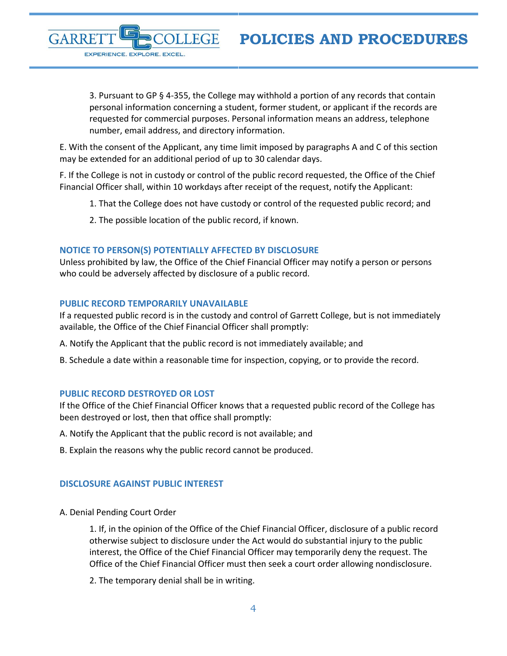GARRE EXPERIENCE. EXPLORE. EXCEL.

> 3. Pursuant to GP § 4-355, the College may withhold a portion of any records that contain personal information concerning a student, former student, or applicant if the records are requested for commercial purposes. Personal information means an address, telephone number, email address, and directory information.

E. With the consent of the Applicant, any time limit imposed by paragraphs A and C of this section may be extended for an additional period of up to 30 calendar days.

F. If the College is not in custody or control of the public record requested, the Office of the Chief Financial Officer shall, within 10 workdays after receipt of the request, notify the Applicant:

- 1. That the College does not have custody or control of the requested public record; and
- 2. The possible location of the public record, if known.

#### <span id="page-3-0"></span>**NOTICE TO PERSON(S) POTENTIALLY AFFECTED BY DISCLOSURE**

Unless prohibited by law, the Office of the Chief Financial Officer may notify a person or persons who could be adversely affected by disclosure of a public record.

#### <span id="page-3-1"></span>**PUBLIC RECORD TEMPORARILY UNAVAILABLE**

If a requested public record is in the custody and control of Garrett College, but is not immediately available, the Office of the Chief Financial Officer shall promptly:

- A. Notify the Applicant that the public record is not immediately available; and
- B. Schedule a date within a reasonable time for inspection, copying, or to provide the record.

#### <span id="page-3-2"></span>**PUBLIC RECORD DESTROYED OR LOST**

If the Office of the Chief Financial Officer knows that a requested public record of the College has been destroyed or lost, then that office shall promptly:

- A. Notify the Applicant that the public record is not available; and
- B. Explain the reasons why the public record cannot be produced.

#### <span id="page-3-3"></span>**DISCLOSURE AGAINST PUBLIC INTEREST**

A. Denial Pending Court Order

1. If, in the opinion of the Office of the Chief Financial Officer, disclosure of a public record otherwise subject to disclosure under the Act would do substantial injury to the public interest, the Office of the Chief Financial Officer may temporarily deny the request. The Office of the Chief Financial Officer must then seek a court order allowing nondisclosure.

2. The temporary denial shall be in writing.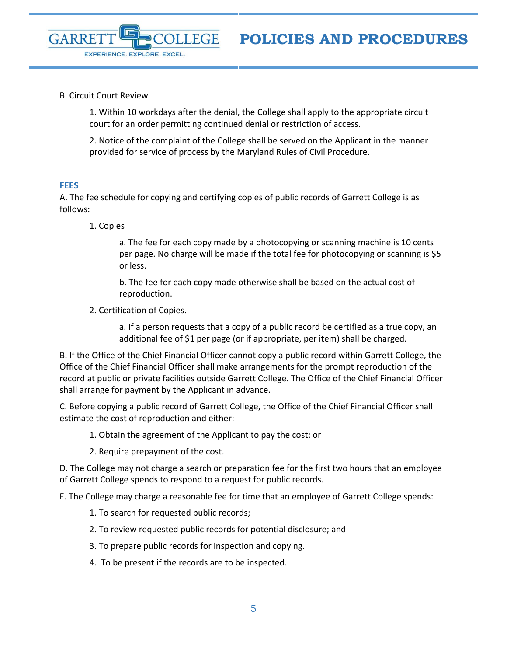#### B. Circuit Court Review

EXPERIENCE. EXPLORE. EXCEL.

1. Within 10 workdays after the denial, the College shall apply to the appropriate circuit court for an order permitting continued denial or restriction of access.

2. Notice of the complaint of the College shall be served on the Applicant in the manner provided for service of process by the Maryland Rules of Civil Procedure.

#### <span id="page-4-0"></span>**FEES**

GARRF

A. The fee schedule for copying and certifying copies of public records of Garrett College is as follows:

1. Copies

a. The fee for each copy made by a photocopying or scanning machine is 10 cents per page. No charge will be made if the total fee for photocopying or scanning is \$5 or less.

b. The fee for each copy made otherwise shall be based on the actual cost of reproduction.

2. Certification of Copies.

a. If a person requests that a copy of a public record be certified as a true copy, an additional fee of \$1 per page (or if appropriate, per item) shall be charged.

B. If the Office of the Chief Financial Officer cannot copy a public record within Garrett College, the Office of the Chief Financial Officer shall make arrangements for the prompt reproduction of the record at public or private facilities outside Garrett College. The Office of the Chief Financial Officer shall arrange for payment by the Applicant in advance.

C. Before copying a public record of Garrett College, the Office of the Chief Financial Officer shall estimate the cost of reproduction and either:

- 1. Obtain the agreement of the Applicant to pay the cost; or
- 2. Require prepayment of the cost.

D. The College may not charge a search or preparation fee for the first two hours that an employee of Garrett College spends to respond to a request for public records.

E. The College may charge a reasonable fee for time that an employee of Garrett College spends:

- 1. To search for requested public records;
- 2. To review requested public records for potential disclosure; and
- 3. To prepare public records for inspection and copying.
- 4. To be present if the records are to be inspected.